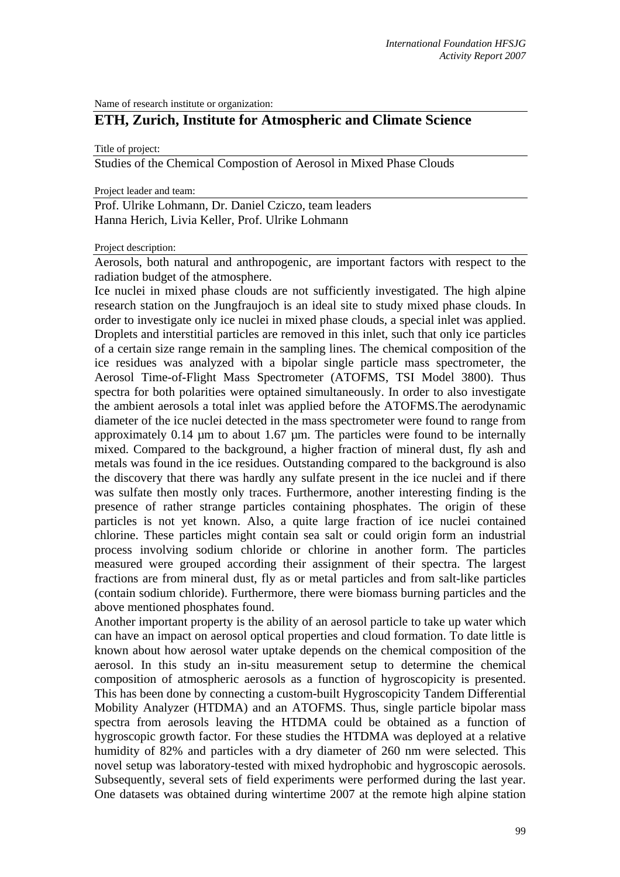Name of research institute or organization:

## **ETH, Zurich, Institute for Atmospheric and Climate Science**

Title of project:

Studies of the Chemical Compostion of Aerosol in Mixed Phase Clouds

Project leader and team:

Prof. Ulrike Lohmann, Dr. Daniel Cziczo, team leaders Hanna Herich, Livia Keller, Prof. Ulrike Lohmann

## Project description:

Aerosols, both natural and anthropogenic, are important factors with respect to the radiation budget of the atmosphere.

Ice nuclei in mixed phase clouds are not sufficiently investigated. The high alpine research station on the Jungfraujoch is an ideal site to study mixed phase clouds. In order to investigate only ice nuclei in mixed phase clouds, a special inlet was applied. Droplets and interstitial particles are removed in this inlet, such that only ice particles of a certain size range remain in the sampling lines. The chemical composition of the ice residues was analyzed with a bipolar single particle mass spectrometer, the Aerosol Time-of-Flight Mass Spectrometer (ATOFMS, TSI Model 3800). Thus spectra for both polarities were optained simultaneously. In order to also investigate the ambient aerosols a total inlet was applied before the ATOFMS.The aerodynamic diameter of the ice nuclei detected in the mass spectrometer were found to range from approximately 0.14 µm to about 1.67 µm. The particles were found to be internally mixed. Compared to the background, a higher fraction of mineral dust, fly ash and metals was found in the ice residues. Outstanding compared to the background is also the discovery that there was hardly any sulfate present in the ice nuclei and if there was sulfate then mostly only traces. Furthermore, another interesting finding is the presence of rather strange particles containing phosphates. The origin of these particles is not yet known. Also, a quite large fraction of ice nuclei contained chlorine. These particles might contain sea salt or could origin form an industrial process involving sodium chloride or chlorine in another form. The particles measured were grouped according their assignment of their spectra. The largest fractions are from mineral dust, fly as or metal particles and from salt-like particles (contain sodium chloride). Furthermore, there were biomass burning particles and the above mentioned phosphates found.

Another important property is the ability of an aerosol particle to take up water which can have an impact on aerosol optical properties and cloud formation. To date little is known about how aerosol water uptake depends on the chemical composition of the aerosol. In this study an in-situ measurement setup to determine the chemical composition of atmospheric aerosols as a function of hygroscopicity is presented. This has been done by connecting a custom-built Hygroscopicity Tandem Differential Mobility Analyzer (HTDMA) and an ATOFMS. Thus, single particle bipolar mass spectra from aerosols leaving the HTDMA could be obtained as a function of hygroscopic growth factor. For these studies the HTDMA was deployed at a relative humidity of 82% and particles with a dry diameter of 260 nm were selected. This novel setup was laboratory-tested with mixed hydrophobic and hygroscopic aerosols. Subsequently, several sets of field experiments were performed during the last year. One datasets was obtained during wintertime 2007 at the remote high alpine station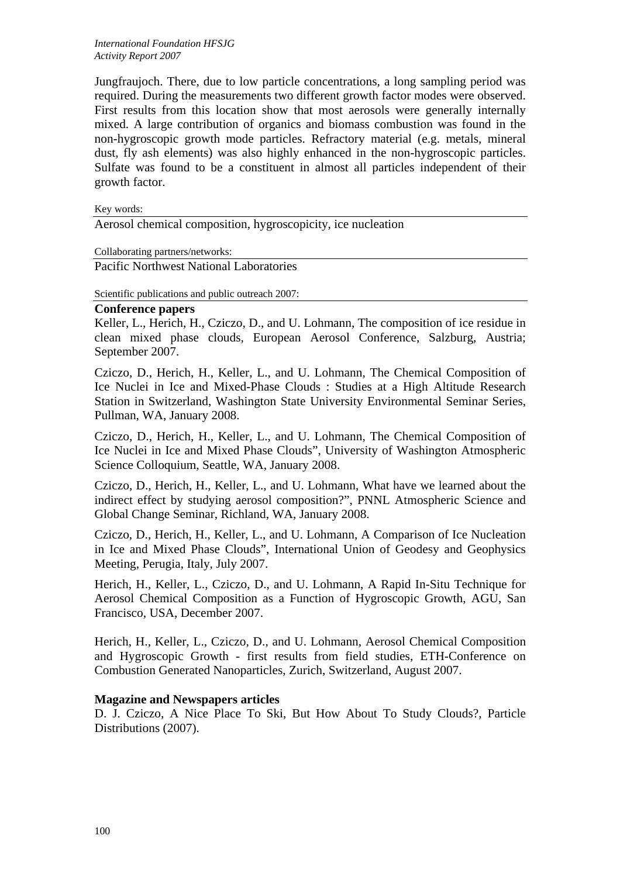Jungfraujoch. There, due to low particle concentrations, a long sampling period was required. During the measurements two different growth factor modes were observed. First results from this location show that most aerosols were generally internally mixed. A large contribution of organics and biomass combustion was found in the non-hygroscopic growth mode particles. Refractory material (e.g. metals, mineral dust, fly ash elements) was also highly enhanced in the non-hygroscopic particles. Sulfate was found to be a constituent in almost all particles independent of their growth factor.

Key words:

Aerosol chemical composition, hygroscopicity, ice nucleation

Collaborating partners/networks:

Pacific Northwest National Laboratories

Scientific publications and public outreach 2007:

## **Conference papers**

Keller, L., Herich, H., Cziczo, D., and U. Lohmann, The composition of ice residue in clean mixed phase clouds, European Aerosol Conference, Salzburg, Austria; September 2007.

Cziczo, D., Herich, H., Keller, L., and U. Lohmann, The Chemical Composition of Ice Nuclei in Ice and Mixed-Phase Clouds : Studies at a High Altitude Research Station in Switzerland, Washington State University Environmental Seminar Series, Pullman, WA, January 2008.

Cziczo, D., Herich, H., Keller, L., and U. Lohmann, The Chemical Composition of Ice Nuclei in Ice and Mixed Phase Clouds", University of Washington Atmospheric Science Colloquium, Seattle, WA, January 2008.

Cziczo, D., Herich, H., Keller, L., and U. Lohmann, What have we learned about the indirect effect by studying aerosol composition?", PNNL Atmospheric Science and Global Change Seminar, Richland, WA, January 2008.

Cziczo, D., Herich, H., Keller, L., and U. Lohmann, A Comparison of Ice Nucleation in Ice and Mixed Phase Clouds", International Union of Geodesy and Geophysics Meeting, Perugia, Italy, July 2007.

Herich, H., Keller, L., Cziczo, D., and U. Lohmann, A Rapid In-Situ Technique for Aerosol Chemical Composition as a Function of Hygroscopic Growth, AGU, San Francisco, USA, December 2007.

Herich, H., Keller, L., Cziczo, D., and U. Lohmann, Aerosol Chemical Composition and Hygroscopic Growth - first results from field studies, ETH-Conference on Combustion Generated Nanoparticles, Zurich, Switzerland, August 2007.

## **Magazine and Newspapers articles**

D. J. Cziczo, A Nice Place To Ski, But How About To Study Clouds?, Particle Distributions (2007).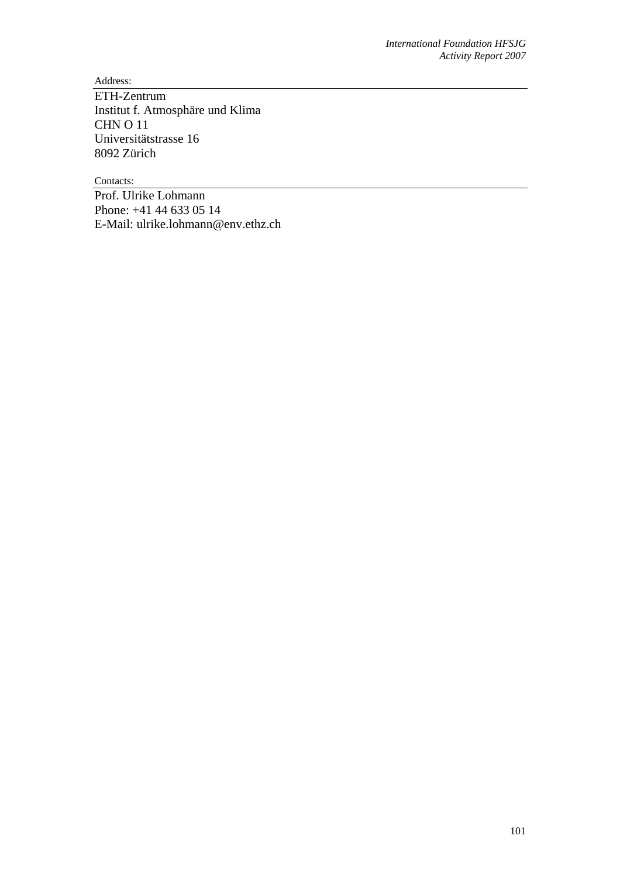Address:

ETH-Zentrum Institut f. Atmosphäre und Klima CHN O 11 Universitätstrasse 16 8092 Zürich

Contacts:

Prof. Ulrike Lohmann Phone: +41 44 633 05 14 E-Mail: ulrike.lohmann@env.ethz.ch